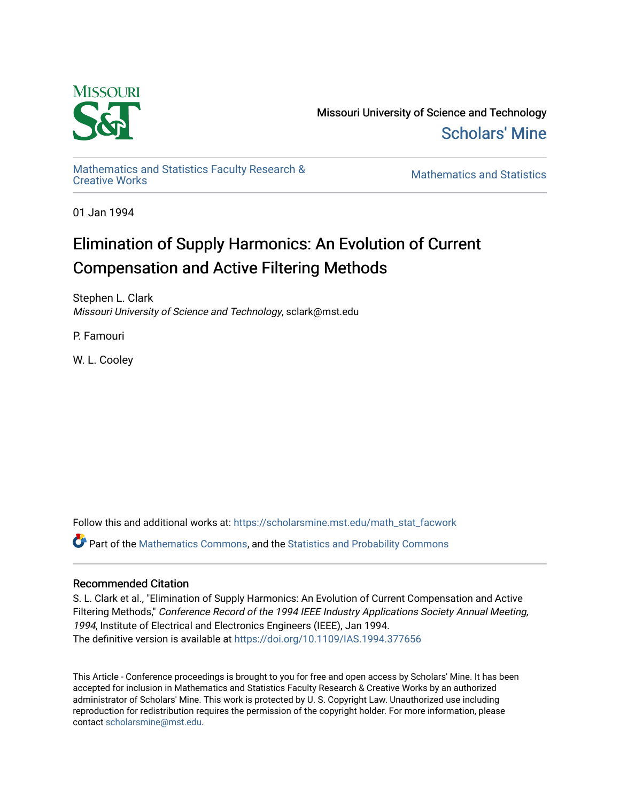

Missouri University of Science and Technology [Scholars' Mine](https://scholarsmine.mst.edu/) 

[Mathematics and Statistics Faculty Research &](https://scholarsmine.mst.edu/math_stat_facwork) 

**Mathematics and Statistics** 

01 Jan 1994

# Elimination of Supply Harmonics: An Evolution of Current Compensation and Active Filtering Methods

Stephen L. Clark Missouri University of Science and Technology, sclark@mst.edu

P. Famouri

W. L. Cooley

Follow this and additional works at: [https://scholarsmine.mst.edu/math\\_stat\\_facwork](https://scholarsmine.mst.edu/math_stat_facwork?utm_source=scholarsmine.mst.edu%2Fmath_stat_facwork%2F635&utm_medium=PDF&utm_campaign=PDFCoverPages)

Part of the [Mathematics Commons](http://network.bepress.com/hgg/discipline/174?utm_source=scholarsmine.mst.edu%2Fmath_stat_facwork%2F635&utm_medium=PDF&utm_campaign=PDFCoverPages), and the [Statistics and Probability Commons](http://network.bepress.com/hgg/discipline/208?utm_source=scholarsmine.mst.edu%2Fmath_stat_facwork%2F635&utm_medium=PDF&utm_campaign=PDFCoverPages)

# Recommended Citation

S. L. Clark et al., "Elimination of Supply Harmonics: An Evolution of Current Compensation and Active Filtering Methods," Conference Record of the 1994 IEEE Industry Applications Society Annual Meeting, 1994, Institute of Electrical and Electronics Engineers (IEEE), Jan 1994. The definitive version is available at <https://doi.org/10.1109/IAS.1994.377656>

This Article - Conference proceedings is brought to you for free and open access by Scholars' Mine. It has been accepted for inclusion in Mathematics and Statistics Faculty Research & Creative Works by an authorized administrator of Scholars' Mine. This work is protected by U. S. Copyright Law. Unauthorized use including reproduction for redistribution requires the permission of the copyright holder. For more information, please contact [scholarsmine@mst.edu](mailto:scholarsmine@mst.edu).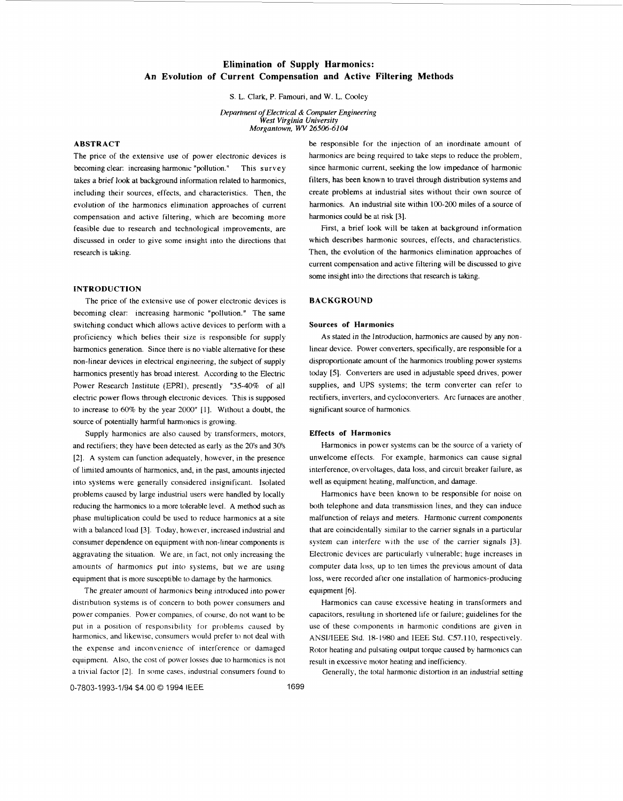# **Elimination of Supply Harmonics: An Evolution of Current Compensation and Active Filtering Methods**

**S.** L. Clark, P. Famouri, and **W.** L. Cooley

*Deportment of Electrical* & *Computer Engineering West Virginia University Morxantown. WV 26506-61 04* 

# **ABSTRACT**

The price of the extensive use of power electronic devices *is*  becoming clear: increasing harmonic "pollution." This survey takes a brief **look** at background information related to harmonics, including their sources, effects, and characteristics. Then, the evolution of the harmonics elimination approaches of current compensation and active filtering, which are becoming more feasible due to research and technological improvements, are discussed in order to give some insight into the directions that research **is** taking.

## **INTRODUCTION**

The price of the extensive use of power electronic devices **is**  becoming clear: increasing harmonic "pollution." The same switching conduct which allows active devices to perform with a proficiency which belies their size is responsible for supply harmonics generation. Since there is no viable alternative for these non-linear devices in electrical engineering, the subject of supply harmonics presently has broad interest. According to the Electric Power Research Institute (EPRI), presently "35-40% of all electric power flows through electronic devices. This **is** supposed to increase to 60% by the year *1000"* [l]. Without a doubt, the source of potentially harmful harmonics **is** growing.

Supply harmonics are also caused by transformers, motors, and rectifiers; they have been detected as early as the **20's** and **30's**  *[2].* A system can function adequately, however, in the presence of limited amounts of harmonics, and, in the past, amounts injected into systems were generally considered insignificant. Isolated problems caused by large industrial users were handled by locally reducing the harmonics to a more tolerable level. **A** method such as phase multiplication could be used to reduce harmonics at a site with a balanced load [3]. Today, however, increased industrial and consumer dependence on equipment with non-linear components **is**  aggravating the situation. We are, in fact, not only increasing the amounts of harmonics put into systems, but we are using equipment that is more susceptible to damage by the harmonics.

The greater amount of harmonics being introduced into power distribution systems **is** of concern to both power consumers and power companies. Power companies, of course, do not want to be put in a position of responsibility for problems caused by harmonics, and likewise, consumers would prefer to not deal with the expense and inconvcnience of intcrferencc or damaged equipment. **Also,** the cost of power losses due to harmonics is not a trivial factor [2]. In some cases, industrial consumers found to

be responsible for the injection of an inordinate amount of harmonics are being required to take steps to reduce the problem, since harmonic current, seeking the low impedance of harmonic filters, has been known to travel through distribution systems and create problems at industrial sites without their own source of harmonics. **An** industrial site within 100-200 miles of a source of harmonics could be at **risk [3].** 

First, a brief look will be taken at background information which describes harmonic sources, effects, and characteristics. Then, the evolution of the harmonics elimination approaches of current compensation and active filtering will be discussed to give some insight into the directions that research is taking.

### **BACKGROUND**

## **Sources of Harmonics**

*As* stated in the Introduction, harmonics are caused by any nonlinear device. Power converters, specifically, are responsible for a disproportionate amount of the harmonics troubling power systems today *[5].* Converters are used in adjustable speed drives, power supplies, and UPS systems; the term converter can refer to rectifiers, inverters, and cycloconverters. Arc furnaces are another significant source of harmonics.

#### **Effects of Harmonics**

Harmonics in power systems can be the source of **a** variety of unwelcome effects. For example, harmonics can cause signal interference, overvoltages, data loss, and circuit breaker failure, **as**  well **as** equipment heating, malfunction, and damage.

Harmonics have been known to be responsible for noise on both telephone and data transmission lines, and they can induce malfunction of relays and meters. Harmonic current components that are coincidentally similar to the carrier signals in a particular system can interfere with the use of the carrier signals [3]. Electronic devices arc particularly \ulnerable; huge increases in computer data **loss,** up to ten times the previous amount of data **loss,** were recorded after one installation of harmonics-producing equipment **[6].** 

Harmonics can cause excessive heating in transformers and capacitors, resulting in shortened life or failure; guidelines for the use of these components in harmonic conditions are given in ANSI/IEEE Std. 18-1980 and IEEE Std. C57.110, respectively. Rotor heating and pulsating output torque caused by harmonics can result in excessive motor heating and inefficiency.

Generally, the total harmonic distortion in an industrial setting

0-7803-1993-1/94 \$4.00  $\odot$  1994 IEEE 1699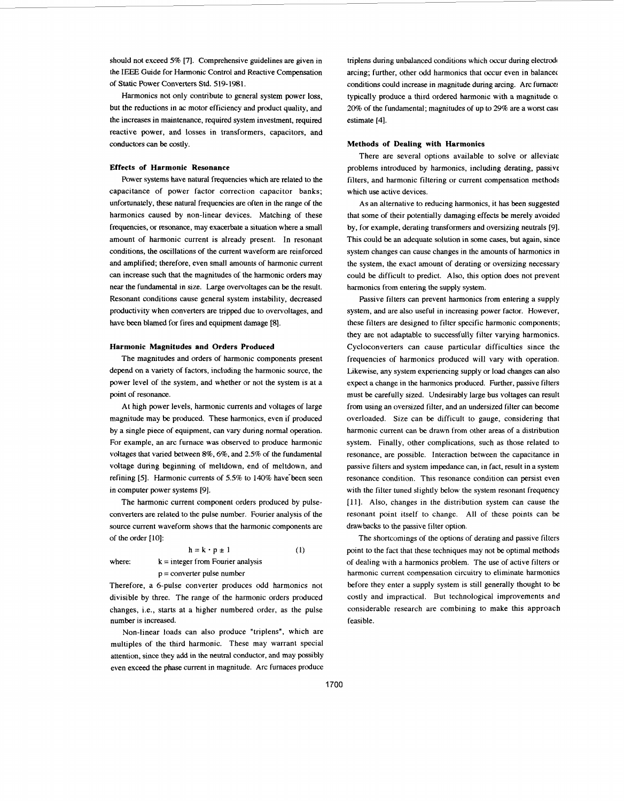should not exceed 5% *[7].* Comprehensive guidelines are given in the IEEE Guide for Harmonic Control and Reactive Compensation of Static Power Converters Std. 519-1981.

Harmonics not only contribute to general system power loss, but the reductions in ac motor efficiency and product quality, and the increases in maintenance, required system investment, required reactive power, and losses in transformers, capacitors, and conductors *can* be costly.

#### **Effects of Harmonic Resonance**

Power systems have natural frequencies which are related to the capacitance of power factor correction capacitor banks; unfortunately, these natural frequencies are often in the range of the harmonics caused by non-linear devices. Matching of these frequencies, or resonance, may exacerbate a situation where a small amount of harmonic current is already present. In resonant conditions, the oscillations of the current waveform are reinforced and amplified; therefore, even small amounts of harmonic current can increase such that the magnitudes of the harmonic orders may near the fundamental in size. Large overvoltages can be the result. Resonant conditions cause general system instability, decreased productivity when converters are tripped due to overvoltages, and have been blamed for fires and equipment damage *[8].* 

#### **Harmonic Magnitudes and Orders Produced**

The magnitudes and orders of harmonic components present depend on a variety of factors, including the harmonic source, the power level of the system, and whether or not the system is at a point of resonance.

At high power levels, harmonic currents and voltages of large magnitude may be produced. These harmonics, even if produced by a single piece of equipment, can vary during normal operation. For example, an arc furnace was observed to produce harmonic voltages that varied between 8%. **6%.** and *2.5%* of the fundamental voltage during beginning of meltdown, end of meltdown, and refining [5]. Harmonic currents of 5.5% to 140% have been seen in computer power systems *[9].* 

The harmonic current component orders produced by pulseconverters are related to the pulse number. Fourier analysis of the source current waveform shows that the harmonic components are of the order [10]:

 $h = k \cdot p \pm 1$  (1) where:  $k =$  integer from Fourier analysis p = converter pulse number

Therefore, a 6-pulse converter produces odd harmonics not divisible by three. The range of the harmonic orders produced changes, i.e., starts at a higher numbered order, as the pulse number is increased.

Non-linear loads can also produce "triplens", which are multiples of the third harmonic. These may warrant special attention, since they add in the neutral conductor, and may possibly even exceed the phase current in magnitude. Arc furnaces produce triplens during unbalanced conditions which occur during electrode arcing; further, other odd harmonics that occur even in balancec conditions could increase in magnitude during arcing. Arc furnace typically produce a third ordered harmonic with **a** magnitude *0, 20%* of the fundamental; magnitudes of up to 29% are a worst *cas<*  estimate **[4].** 

#### **Methods of Dealing with Harmonics**

There are several options available to solve or alleviate problems introduced by harmonics, including derating, passive filters, and harmonic filtering or current compensation methods which **use** active devices.

As an alternative to reducing harmonics, it has been suggested that some of their potentially damaging effects be merely avoided by, for example, derating transformers and oversizing neutrals *[9].*  This could be an adequate solution in some cases, but again, since system changes can cause changes in the amounts of harmonics in the system, the exact amount of derating or oversizing necessary could be difficult to predict. Also, this option does not prevent harmonics from entering the supply system.

Passive filters can prevent harmonics from entering a supply system, and are also useful in increasing power factor. However, these filters are designed to filter specific harmonic components; they are not adaptable to successfully filter varying harmonics. Cycloconverters can cause particular difficulties since the frequencies of harmonics produced will vary with operation. Likewise, any system experiencing supply or load changes can also expect a change in the harmonics produced. Further, passive filters must be carefully sized. Undesirably large bus voltages *can* result from using an oversized filter, and an undersized filter can become overloaded. Size can be difficult to gauge, considering that harmonic current can be drawn from other areas of a distribution system. Finally, other complications, such as those related to resonance, are possible. Interaction between the capacitance in passive filters and system impedance can, in fact, result in a system resonance condition. This resonance condition can persist even with the filter tuned slightly below the system resonant frequency **[ll].** Also, changes in the distribution system can cause the resonant point itself to change. All of these points can be drawbacks to the passive filter option.

The shortcomings of the options of derating and passive filters point to the fact that these techniques may not be optimal methods of dealing with a harmonics problem. The use of active filters or harmonic current compensation circuitry to eliminate harmonics before they enter a supply system is still generally thought to be costly and impractical. But technological improvements and considerable research are combining to make this approach feasible.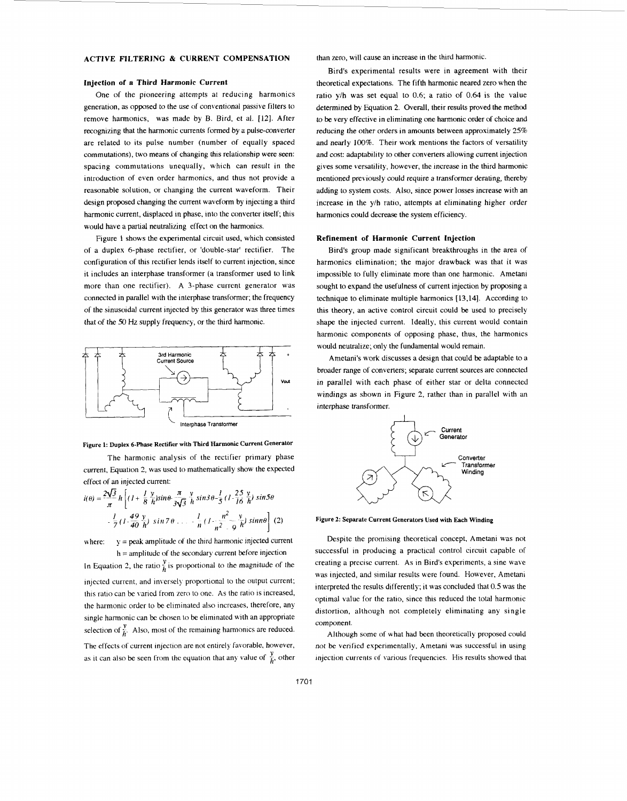#### **ACTIVE FILTERING** *8i* **CURRENT COMPENSATION**

#### **Injection of a** *Third* **Harmonic Current**

One of the pioneering attempts at reducing harmonics generation, as opposed to the use of conventional passive filters to remove harmonics, was made by B. Bird, et al. **[12].** After recognizing that the harmonic currents formed by a pulse-converter are related to its pulse number (number of equally spaced commutations), two means of changing this relationship were seen: spacing commutations unequally, which can result in the introduction of even order harmonics, and thus not provide a reasonable solution, or changing the current waveform. Their design proposed changing the current waveform by injecting a third harmonic current, displaced in phase, into the converter itself; this would have a partial neutralizing effect on the harmonics.

Figure **1** shows the experimental circuit used, which consisted of a duplex 6-phase rectifier, or 'double-star' rectifier. The configuration of this rectifier lends itself to current injection, since it includes an interphase transformer (a transformer used to link more than one rectifier). A 3-phase current generator was connected in parallel with the interphase transformer; the frequency of the sinusoidal current injected by this generator was three times that of the *50* **Hz** supply frequency, or the third harmonic.



# **Figure 1: Duplex 6-Phase Rectifier with Third Harmonic Current Generator**

The harmonic analysis of the rectifier primary phase current, Equation *2,* was used to mathematically show the expected effect of an injected current:

$$
i(\theta) = \frac{2\sqrt{3}}{\pi} h \left[ (1 + \frac{1}{8} \frac{y}{h}) \sin \theta \frac{\pi}{3\sqrt{3}} \frac{y}{h} \sin 3\theta - \frac{1}{5} (1 - \frac{25}{16} \frac{y}{h}) \sin 5\theta \right]
$$
  

$$
- \frac{1}{7} (1 - \frac{49}{40} \frac{y}{h}) \sin 7\theta \dots - \frac{1}{n} (1 - \frac{n^2}{n^2 - 9} \frac{y}{h}) \sin n\theta \right] (2)
$$

where:  $y = peak$  amplitude of the third harmonic injected current  $h =$  amplitude of the secondary current before injection

In Equation 2, the ratio  $\frac{y}{h}$  is proportional to the magnitude of the injected currcnt, and inversely proportional to the output current; this ratio can be varicd from zero to one. **As** the ratio is increased, the harmonic order to be eliminated also incrcases, therefore, any single harmonic *can* be chosen 10 be eliminated with an appropriate selection of  $\frac{\mathbf{y}}{h}$ . Also, most of the remaining harmonics are reduced. The effects of current injection are not entirely favorable, however, as it can also be seen from the equation that any value of  $\frac{y}{h}$ , other than zero, will cause an increase in the third harmonic.

Bird's experimental results were in agreement with their theoretical expectations. The fifth harmonic neared zero when the ratio y/h was set equal to 0.6; a ratio of 0.64 is the value determined by Equation **2.** Overall, their results proved the method *to* be very effective in eliminating one harmonic order of choice and reducing the other orders in amounts between approximately *25%*  and nearly **100%.** Their work mentions the factors of versatility and cost: adaptability to other converters allowing current injection gives some versatility, however, the increase in the third harmonic mentioned previously could require a transformer derating, thereby adding to system costs. Also, since power losses increase with an increase in the y/h ratio, attempts at eliminating higher order harmonics could decrease the system efficiency.

#### **Refinement of Harmonic Current Injection**

Bird's group made significant breakthroughs in the area of harmonics elimination; the major drawback was that it **was**  impossible to fully eliminate more than one harmonic. Ametani sought to expand the usefulness of current injection by proposing a technique to eliminate multiple harmonics [ 13,141. According to this theory, an active control circuit could be used to precisely shape the injected current. Ideally, this current would contain harmonic components of opposing phase, thus, the harmonics would neutralize; only the fundamental would remain.

Ametani's work discusses a design that could be adaptable to a broader range of converters; separate current sources are connected in parallel with each phase of either star or delta connected windings as shown in Figure *2,* rather than in parallel with an interphase transformer.



**Figure 2: Separate Current Generators Used with Each Winding** 

Despite the promising theoretical concept. Ametani was not successful in producing a practical control circuit capable of creating **a** precise current. As in Bird's experiments, a sine wave was injected, and similar results were found. However, Ametani interpreted thc results differently; it was concluded that 0.5 was the optimal value for the ratio, since this reduced the total harmonic distortion, although not completely eliminating any single component.

Although some of what had been theoretically proposed could not be verified experimentally, Ametani **was** successful in using injection currents of various frequencies. His results showed that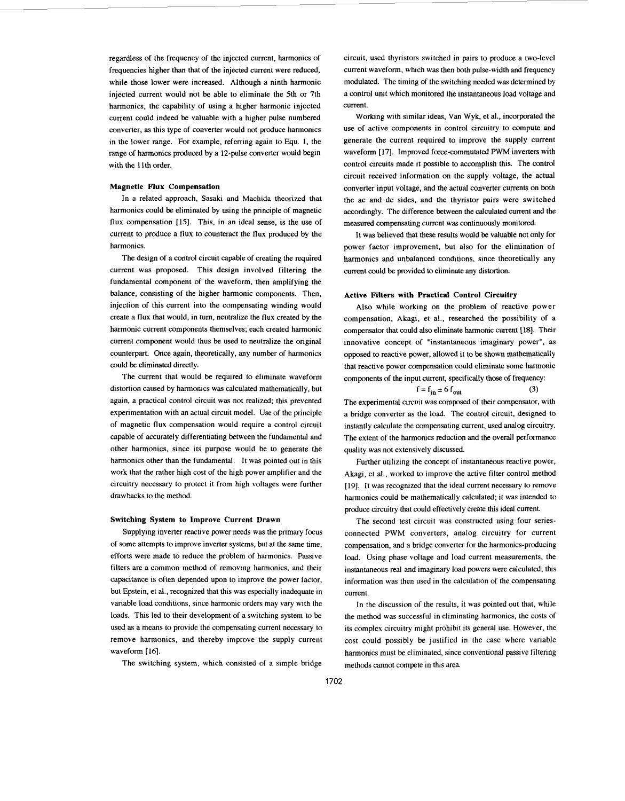regardless of the frequency of the injected current, harmonics of frequencies higher than that of the injected current were reduced, while those lower were increased. Although a ninth harmonic injected current would not be able to eliminate the 5th or 7th harmonics, the capability of using a higher harmonic injected current could indeed be valuable with a higher pulse numbered converter, **as** this type of converter would not produce harmonics in the lower range. For example, referring again to Equ. 1, the range of harmonics produced by a 12-pulse converter would begin with the 11th order.

## **Magnetic Flux Compensation**

In a related approach, Sasaki and Machida theorized that harmonics could be eliminated by using the principle of magnetic flux compensation [15]. This, in an ideal sense, is the use of current to produce a flux to counteract the flux produced by the harmonics.

The design of a control circuit capable of creating the required current was proposed. This design involved filtering the fundamental component of the waveform, then amplifying the balance, consisting of the higher harmonic components. Then, injection of this current into the compensating winding would create a flux that would, in turn, neutralize the flux created by the harmonic current components themselves; each created harmonic current component would thus be used to neutralize the original counterpart. Once again, theoretically, any number of harmonics could be eliminated directly.

The current that would be required to eliminate waveform distortion caused by harmonics was calculated mathematically, but again, a practical control circuit was not realized; this prevented experimentation with an actual circuit model. Use of the principle of magnetic flux compensation would require a control circuit capable of accurately differentiating between the fundamental and other harmonics, since its purpose would be to generate the harmonics other than the fundamental. It was pointed out in this work that the rather high cost of the high power amplifier and the circuitry necessary to protect it from high voltages were further drawbacks to the method.

#### **Switching System to Improve Current Drawn**

Supplying inverter reactive power needs was the primary focus of some attempts to improve inverter systems, but at the same time, efforts were made to reduce the problem of harmonics. Passive filters are a common method of removing harmonics, and their capacitance is often depended upon to improve the power factor, but Epstein, et al., recognized that this **was** especially inadequate in variable load conditions, since harmonic orders may vary with the loads. This led to their development of a switching system to be used **as** a means to provide the compensating current necessary to remove harmonics, and thereby improve the supply current waveform [ **161.** 

The switching system, which consisted of a simple bridge

circuit, used thyristors switched in pairs to produce a two-level current waveform, which was then both pulse-width and frequency modulated. The timing of the switching needed was determined by a control unit which monitored the instantaneous load voltage and current.

Working with similar ideas, Van Wyk, et al., incorporated the use of active components in control circuitry to compute and generate the current required to improve the supply current waveform [17]. Improved force-commutated PWM inverters with control circuits made it possible to accomplish this. The control circuit received information on the supply voltage, the actual converter input voltage, and the actual converter currents on both the ac and dc sides, and the thyristor pairs were switched accordingly. The difference between the calculated current and the measured compensating current was continuously monitored.

It was believed that these results would be valuable not only for power factor improvement, but also for the elimination of harmonics and unbalanced conditions, since theoretically any current could be provided to eliminate any distortion.

# **Active Filters with Practical Control Circuitry**

Also while working on the problem of reactive power compensation, Akagi, et al., researched the possibility of a compensator that could also eliminate harmonic current [ **181.** Their innovative concept of "instantaneous imaginary power", as opposed to reactive power, allowed it to be shown mathematically that reactive power compensation could eliminate some harmonic components of the input current, specifically those of frequency:

$$
f = f_{in} \pm 6 f_{out}
$$
 (3)

The experimental circuit was composed of their compensator, with a bridge converter as the load. The control circuit, designed to instantly calculate the compensating current, used analog circuitry. The extent of the harmonics reduction and the overall performance quality was not extensively discussed.

Further utilizing the concept of instantaneous reactive power, Akagi, et al., worked to improve the active filter control method [19]. It was recognized that the ideal current necessary to remove harmonics could be mathematically calculated; it was intended to produce circuitry that could effectively create this ideal current.

The second test circuit was constructed using four seriesconnected PWM converters, analog circuitry for current compensation, and a bridge converter for the harmonics-producing load. Using phase voltage and load current measurements, the instantaneous real and imaginary load powers were calculated; ths information was then used in the calculation of the compensating current.

In the discussion of the results, it was pointed out that, while the method was successful in eliminating harmonics, the costs of its complex circuitry might prohibit its general use. However, the cost could possibly be justified in the case where variable harmonics must be eliminated, since conventional passive filtering methods cannot compete in this area.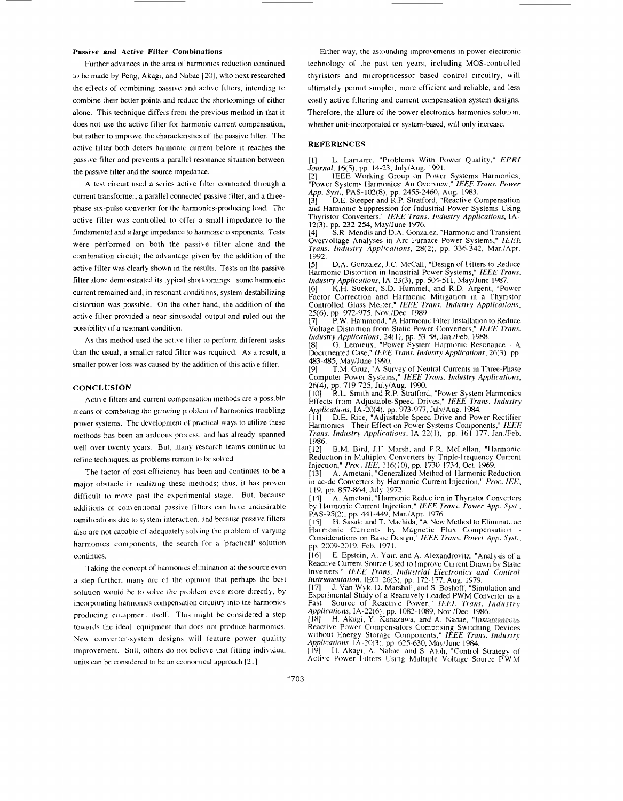### **Passive and Active Filter Combinations**

Further advances in the area of harmonics reduction continued to be made by Peng, Akagi, and Nabae [20], who next researched the effects of combining passive and active filters, intending to combine their better points and reduce the shortcomings of either alone. This technique differs from the previous method in that it does not use the active filter for harmonic current compensation, but rather to improve the characteristics of the passive filter. The active filter both deters harmonic current before it reaches the passive filter and prevents a parallel resonance situation between the passive filter and the source impedance.

A test circuit used a series active filter connected through a current transformer, a parallel connected passive filter, and a threephase six-pulse converter for the harmonics-producing load. The active filter was controlled **lo** offer a small impedance to the fundamental and **a** large impedance *to* harmonic components. Tests were performed on both the passive filter alone and the combination circuit; the advantage given by the addition of the active filter was clearly shown in the results. Tests on the passive filter alone demonstrated its typical shortcomings: some harmonic current remained and, in resonant conditions, system destabilizing distortion was possible. On the other hand, the addition of the active filter provided a near sinusoidal output and ruled out the possibility of **a** resonant condition.

As this method used the active filter to perform different tasks than the usual, a smaller rated filter was required. As a result, a smaller power loss was caused by the addition of this active filter.

#### **CONCLUSION**

Active filters and current compensation methods are a possible means of combating the growing problem of harmonics troubling power systems. The development **of** practical ways to utilize these methods has been an arduous process, and has already spanned well over twenty years. But, many research teams continue to refine techniques, as problems remain to be solved.

The factor of cost efficiency has been and continues to be a major obstacle in realizing these methods; thus, it has proven difficult to move past the experimental stage. But, because additions of conventional passive filters can have undesirable ramifications due to system interaction, and because passive filters also are not capable of adequately solving the problem of varying harmonics components, the search for a 'practical' solution continues.

Taking the concept of harmonics elimination at the source even a step further, many are of the opinion that perhaps the best solution would be to solve the problem even more directly, by incorporating harmonics compensation circuitry into the harmonics producing equipment itself. This might be considered a step tonards the ideal: equipment that docs not produce harmonics. New converter-system designs will feature power quality improvement. Still, others do not believe that fitting individual units can be considered to be an economical approach [21].

Either way, the astounding improvements in power electronic technology of the past ten years, including MOS-controlled thyristors and microprocessor based control circuitry, will ultimately permit simpler, more efficient and reliable, and less costly active filtering and current compensation system designs. Therefore, the allure of the power electronics harmonics solution, whether unit-incorporated or system-based, will only increase.

#### **REFERENCES**

[l] L. Lamarre, "Problems With Power Quality," *EPRI Journal*, 16(5), pp. 14-23, July/Aug. 1991.

*[2]* IEEE Working Group on Power Systems Harmonics, "Power Systems Harmonics: An Overview," IEEE Trans. Power *App. SySt.,* PAS-l02(8), pp. 2455-2460, Aug. 1983.

**[3]** D.E. Steeper and R.P. Stratford, "Reactive Compensation and Harmonic Suppression for Industrial Power Systems Using Thyristor Converters," *IEEE Trans. Indristry Applicatiorrs,* IA-12(3), pp. 232-254, May/June 1976.<br>[4] S.R. Mendis and D.A. Gonza

S.R. Mendis and D.A. Gonzalez, "Harmonic and Transient Overvoltage Analyses in Arc Furnace Power Systems," *IEEE Trans. Iitdristry Applicntiotrs,* 28(2), pp. 336-341, Mar./Apr.

1992.<br>[5] D.A. Gonzalez. J.C. McCall, "Design of Filters to Reduce Harmonic Distortion in Industrial Power Systems," *IEEE Trans. Itidusrry Appliccilions,* IA-23(3), pp. 504-51 **I,** MaylJun

[6] K.H. Sucker, S.D. Hummel, and R.D. Argent, "Powcr Factor Correction and Harmonic Mitigation in a Thyristor Controlled Glass Melter," IEEE Trans. Industry Applications, 25(6), pp. 972-975, Nov./Dec. 1989.

**[7]** P.W. Hammond, "A Harmonic Filter Installation to Reduce Voltage Distortion from Static Power Converters," *IEFE Trans. Industry Applicatiotis,* **24(** I), pp. 53-58, Jan./Feb. 1988.

[8] G. Lemieus, "Power System Harmonic Resonance - A Documented Case," *IEEE Trans. Idistry Applicatiorrs,* 26(3), pp. **483-485,** MayiJune 1990.

191 T.M. Gruy., "A Suwey of Neutral Currents in Three-Phae Computer Paver Systems," *IEEE Trans. bidtrstry Applicatioiis,*  26(4), pp. 719-725, JulylAug. 1990.

[IO] R.L. Smith and R.P. Stratford, "Power System Harmonics Effects from Adjustable-Speed Dritxs," *IEEE* 7ians. *Itidristry Applicatiorrs,* IA-20(4). pp. 973-977, JulylAug. 1984.

[11] D.E. Rice, "Adjustable Speed Drive and Power Rectifier Harmonics - Their Effect on Power Systems Components," *IEEE Trans. Industry Applications, IA-22(1), pp. 161-177, Jan./Feb.* 1986.

[12] B.M. Bird, J.F. Marsh, and P.R. McLellan, "Harmonic Reduction in Multiples Converters by Triple-frequency Current Injection," *Proc. IEE,* I16(10), pp. 1730-1734, Oct. 1969.

[ 131 A. Ametani, "Generalized Method of Harmonic Reduction in ac-dc Con\.erters by Harmonic Current Injection," *Proc. IEE,*  119, pp. 857-864, July 1971.

[14] A. Ametani, "Harmonic Reduction in Thyristor Converters by Harmonic Current Injection," IEEE Trans. Power App. Syst., PAS-95(2), pp. 441-449, Mar./Apr. 1976.

[15] H. Sasaki and T. Machida, **"A** Ne\\ Method to Eliminate ac Harmonic Currents by Magnetic Flux Compensation Considerations on Basic Design," *IEEE Trans. Power App. Syst.*, pp. 2009-2019, Feb. 1971.

[16] E. Epstein, A. Yair, and A. Alexandrovitz, "Analysis of a Reactive Current Source Used to Improve Current Drawn by Static Inverters," IEEE Trans. Industrial Electronics and Control *Instrumentation, IECI-26(3), pp. 172-177, Aug. 1979.* 

[I71 J. Van Wyk, D. Marshall, and S. Boshoff, "Simulation and Experimental Study of a Reactively Loaded PWM Converter as a Fast Source of Reactive Power," *IEEE Trans. Industry Applications*, IA-22(6), pp. 1082-1089, Nov./Dec. 1986.

[I81 H. Akapi, *Y.* Kanazawa, and *A.* Nabae, "Instantaneous Reactive Pmer Compensators Comprising Switching Devices without Energy Storage Components," IEEE Trans. Industry *Applicaiions,* **IA** -10(3), pp. 615-630, MaylJune **1984.** 

H. Akagi, A. Nabae, and S. Atoh, "Control Strategy of Active Power Filter< Using Multiple Voltage Source PWM